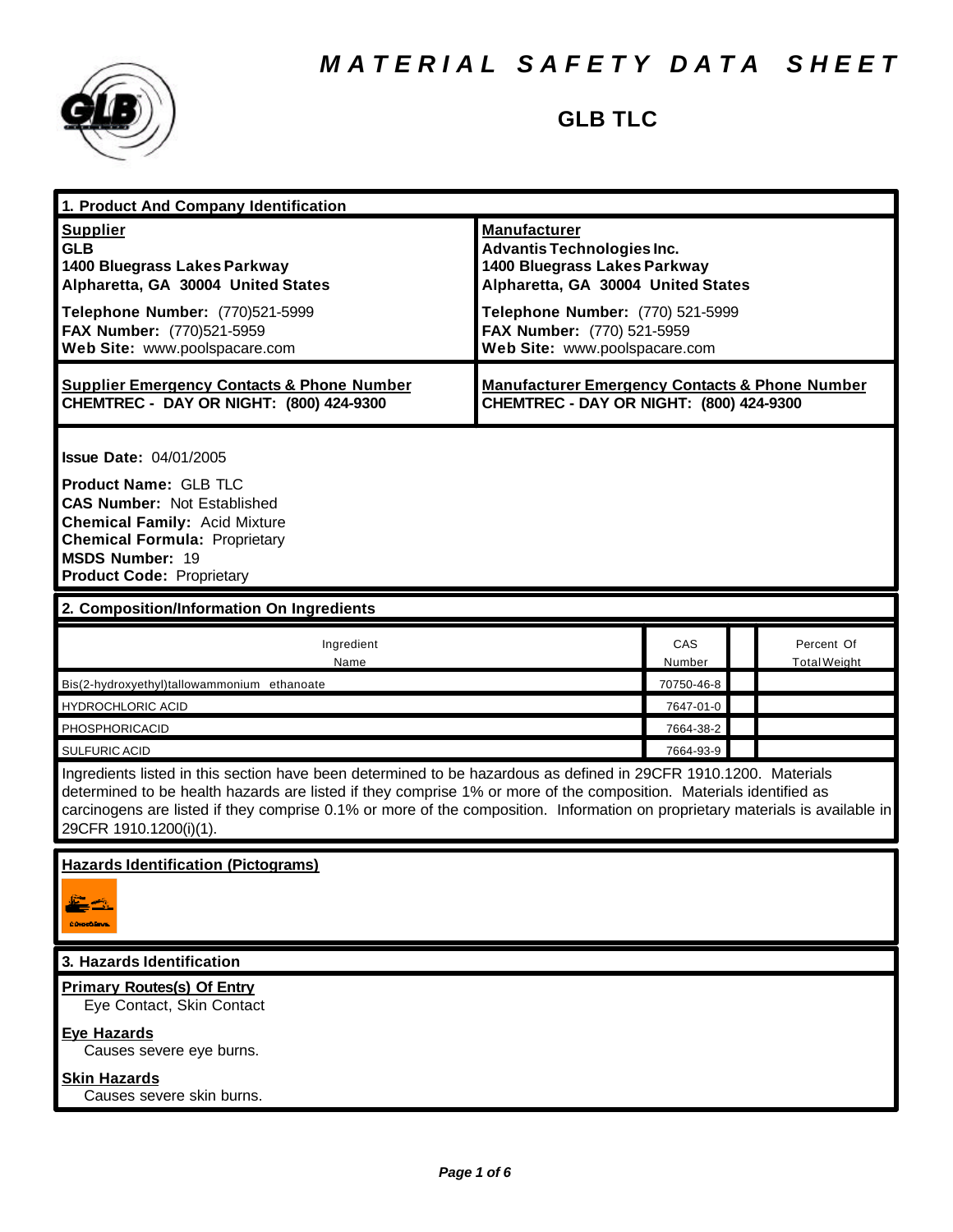

### **GLB TLC**

| 1. Product And Company Identification                                                                                                                                                                                                                                                                                                                                                             |                                                                                                                                                                                                                                   |               |                                   |  |
|---------------------------------------------------------------------------------------------------------------------------------------------------------------------------------------------------------------------------------------------------------------------------------------------------------------------------------------------------------------------------------------------------|-----------------------------------------------------------------------------------------------------------------------------------------------------------------------------------------------------------------------------------|---------------|-----------------------------------|--|
| <b>Supplier</b><br><b>GLB</b><br>1400 Bluegrass Lakes Parkway<br>Alpharetta, GA 30004 United States<br>Telephone Number: (770)521-5999<br>FAX Number: (770)521-5959<br>Web Site: www.poolspacare.com                                                                                                                                                                                              | <b>Manufacturer</b><br><b>Advantis Technologies Inc.</b><br>1400 Bluegrass Lakes Parkway<br>Alpharetta, GA 30004 United States<br>Telephone Number: (770) 521-5999<br>FAX Number: (770) 521-5959<br>Web Site: www.poolspacare.com |               |                                   |  |
| <b>Supplier Emergency Contacts &amp; Phone Number</b><br>CHEMTREC - DAY OR NIGHT: (800) 424-9300                                                                                                                                                                                                                                                                                                  | <b>Manufacturer Emergency Contacts &amp; Phone Number</b><br>CHEMTREC - DAY OR NIGHT: (800) 424-9300                                                                                                                              |               |                                   |  |
| <b>Issue Date: 04/01/2005</b><br><b>Product Name: GLB TLC</b><br><b>CAS Number: Not Established</b><br><b>Chemical Family: Acid Mixture</b><br><b>Chemical Formula: Proprietary</b><br><b>MSDS Number: 19</b><br><b>Product Code: Proprietary</b>                                                                                                                                                 |                                                                                                                                                                                                                                   |               |                                   |  |
| 2. Composition/Information On Ingredients                                                                                                                                                                                                                                                                                                                                                         |                                                                                                                                                                                                                                   |               |                                   |  |
| Ingredient<br>Name                                                                                                                                                                                                                                                                                                                                                                                |                                                                                                                                                                                                                                   | CAS<br>Number | Percent Of<br><b>Total Weight</b> |  |
| Bis(2-hydroxyethyl)tallowammonium ethanoate                                                                                                                                                                                                                                                                                                                                                       |                                                                                                                                                                                                                                   | 70750-46-8    |                                   |  |
| <b>HYDROCHLORIC ACID</b>                                                                                                                                                                                                                                                                                                                                                                          |                                                                                                                                                                                                                                   | 7647-01-0     |                                   |  |
| PHOSPHORICACID                                                                                                                                                                                                                                                                                                                                                                                    |                                                                                                                                                                                                                                   | 7664-38-2     |                                   |  |
| SULFURIC ACID                                                                                                                                                                                                                                                                                                                                                                                     |                                                                                                                                                                                                                                   | 7664-93-9     |                                   |  |
| Ingredients listed in this section have been determined to be hazardous as defined in 29CFR 1910.1200. Materials<br>determined to be health hazards are listed if they comprise 1% or more of the composition. Materials identified as<br>carcinogens are listed if they comprise 0.1% or more of the composition. Information on proprietary materials is available in<br>29CFR 1910.1200(i)(1). |                                                                                                                                                                                                                                   |               |                                   |  |
| <b>Hazards Identification (Pictograms)</b><br>: Nochlave                                                                                                                                                                                                                                                                                                                                          |                                                                                                                                                                                                                                   |               |                                   |  |
| 3. Hazards Identification                                                                                                                                                                                                                                                                                                                                                                         |                                                                                                                                                                                                                                   |               |                                   |  |
| <b>Primary Routes(s) Of Entry</b><br>Eye Contact, Skin Contact                                                                                                                                                                                                                                                                                                                                    |                                                                                                                                                                                                                                   |               |                                   |  |
| <b>Eye Hazards</b><br>Causes severe eye burns.                                                                                                                                                                                                                                                                                                                                                    |                                                                                                                                                                                                                                   |               |                                   |  |
| <b>Skin Hazards</b><br>Causes severe skin burns.                                                                                                                                                                                                                                                                                                                                                  |                                                                                                                                                                                                                                   |               |                                   |  |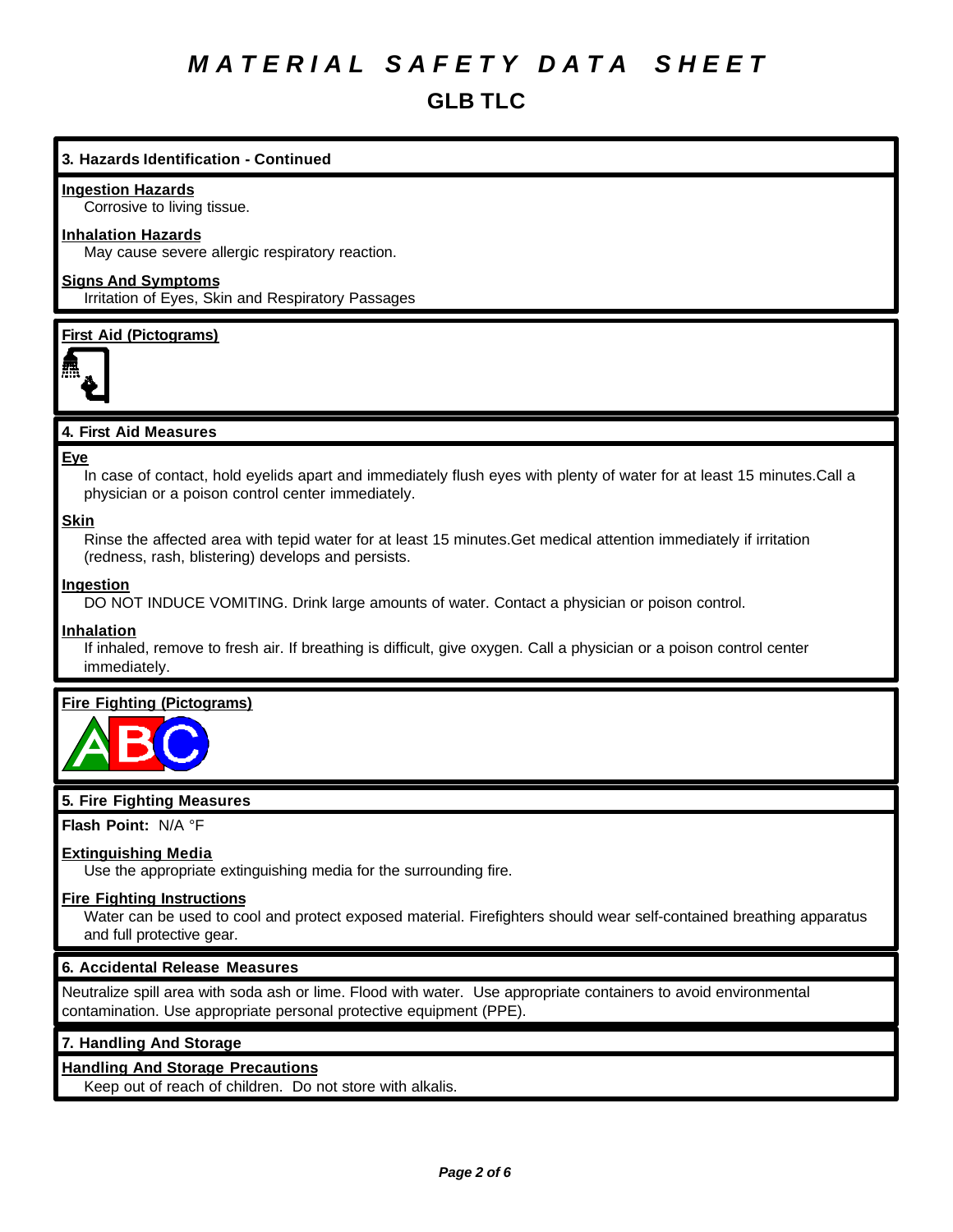### **GLB TLC**

#### **3. Hazards Identification - Continued**

#### **Ingestion Hazards**

Corrosive to living tissue.

#### **Inhalation Hazards**

May cause severe allergic respiratory reaction.

#### **Signs And Symptoms**

Irritation of Eyes, Skin and Respiratory Passages

#### **First Aid (Pictograms)**



#### **4. First Aid Measures**

#### **Eye**

In case of contact, hold eyelids apart and immediately flush eyes with plenty of water for at least 15 minutes.Call a physician or a poison control center immediately.

#### **Skin**

Rinse the affected area with tepid water for at least 15 minutes.Get medical attention immediately if irritation (redness, rash, blistering) develops and persists.

#### **Ingestion**

DO NOT INDUCE VOMITING. Drink large amounts of water. Contact a physician or poison control.

#### **Inhalation**

If inhaled, remove to fresh air. If breathing is difficult, give oxygen. Call a physician or a poison control center immediately.

#### **Fire Fighting (Pictograms)**



#### **5. Fire Fighting Measures**

**Flash Point:** N/A °F

#### **Extinguishing Media**

Use the appropriate extinguishing media for the surrounding fire.

#### **Fire Fighting Instructions**

Water can be used to cool and protect exposed material. Firefighters should wear self-contained breathing apparatus and full protective gear.

#### **6. Accidental Release Measures**

Neutralize spill area with soda ash or lime. Flood with water. Use appropriate containers to avoid environmental contamination. Use appropriate personal protective equipment (PPE).

#### **7. Handling And Storage**

#### **Handling And Storage Precautions**

Keep out of reach of children. Do not store with alkalis.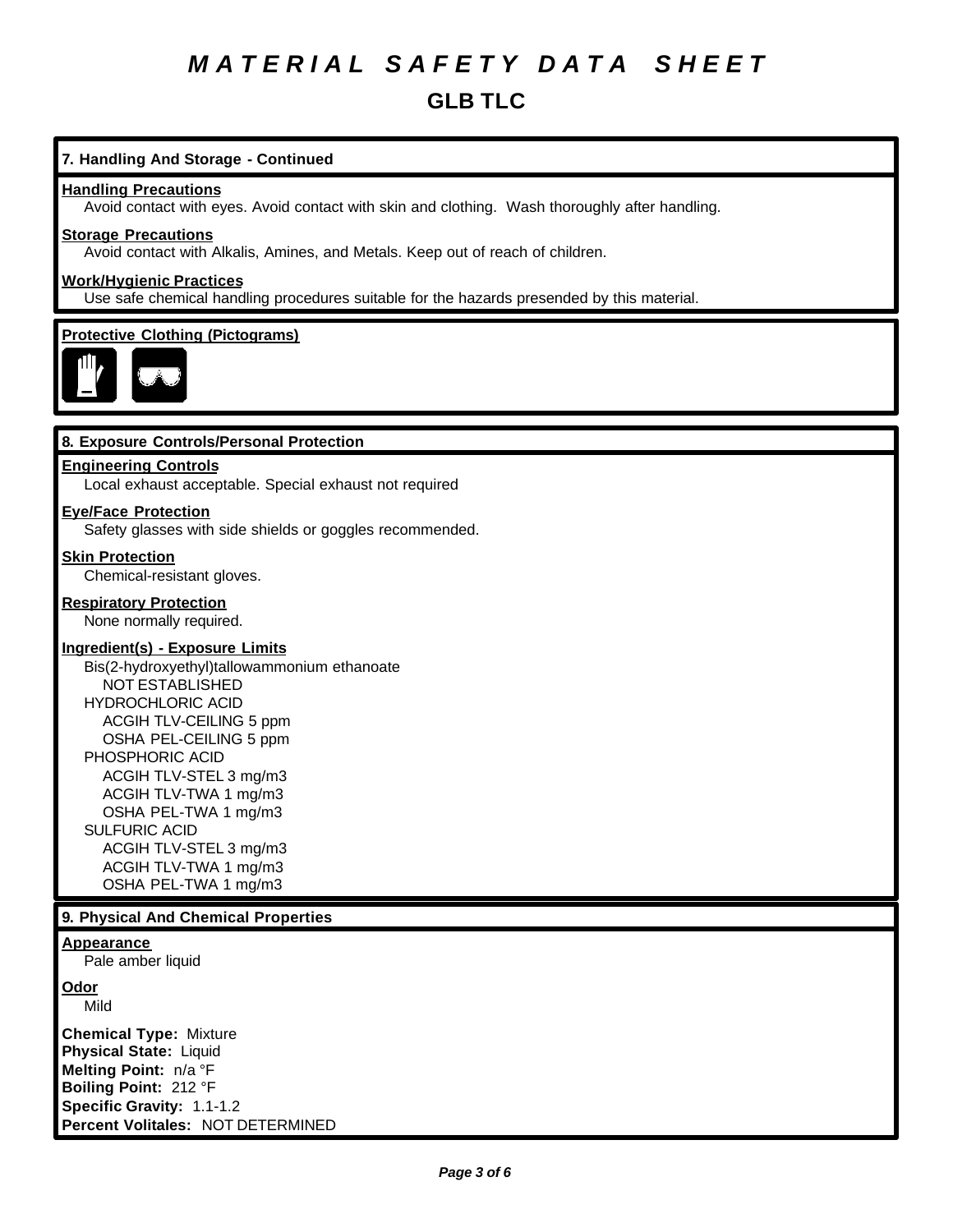### **GLB TLC**

### **7. Handling And Storage - Continued**

#### **Handling Precautions**

Avoid contact with eyes. Avoid contact with skin and clothing. Wash thoroughly after handling.

#### **Storage Precautions**

Avoid contact with Alkalis, Amines, and Metals. Keep out of reach of children.

#### **Work/Hygienic Practices**

Use safe chemical handling procedures suitable for the hazards presended by this material.

#### **Protective Clothing (Pictograms)**



#### **8. Exposure Controls/Personal Protection**

#### **Engineering Controls**

Local exhaust acceptable. Special exhaust not required

#### **Eye/Face Protection**

Safety glasses with side shields or goggles recommended.

#### **Skin Protection**

Chemical-resistant gloves.

#### **Respiratory Protection**

None normally required.

#### **Ingredient(s) - Exposure Limits**

Bis(2-hydroxyethyl)tallowammonium ethanoate NOT ESTABLISHED HYDROCHLORIC ACID ACGIH TLV-CEILING 5 ppm OSHA PEL-CEILING 5 ppm PHOSPHORIC ACID ACGIH TLV-STEL 3 mg/m3 ACGIH TLV-TWA 1 mg/m3 OSHA PEL-TWA 1 mg/m3 SULFURIC ACID ACGIH TLV-STEL 3 mg/m3 ACGIH TLV-TWA 1 mg/m3 OSHA PEL-TWA 1 mg/m3

#### **9. Physical And Chemical Properties**

#### **Appearance**

Pale amber liquid

#### **Odor**

Mild

**Chemical Type:** Mixture **Physical State:** Liquid **Melting Point:** n/a °F **Boiling Point:** 212 °F **Specific Gravity:** 1.1-1.2 **Percent Volitales:** NOT DETERMINED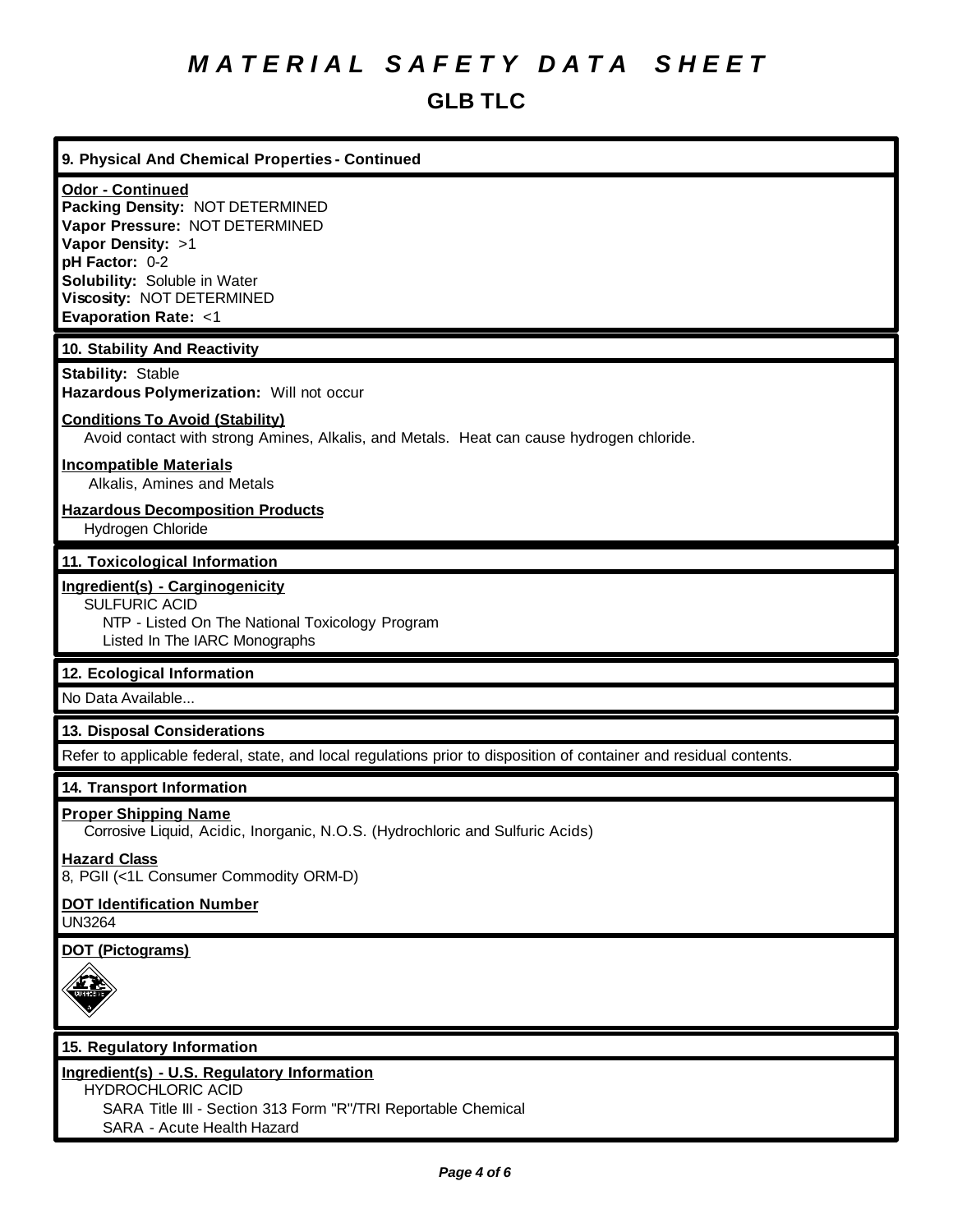### **GLB TLC**

#### **9. Physical And Chemical Properties - Continued**

#### **Odor - Continued**

**Packing Density:** NOT DETERMINED **Vapor Pressure:** NOT DETERMINED **Vapor Density:** >1 **pH Factor:** 0-2 **Solubility:** Soluble in Water **Viscosity:** NOT DETERMINED **Evaporation Rate:** <1

#### **10. Stability And Reactivity**

**Stability:** Stable

**Hazardous Polymerization:** Will not occur

#### **Conditions To Avoid (Stability)**

Avoid contact with strong Amines, Alkalis, and Metals. Heat can cause hydrogen chloride.

#### **Incompatible Materials**

Alkalis, Amines and Metals

#### **Hazardous Decomposition Products**

Hydrogen Chloride

#### **11. Toxicological Information**

#### **Ingredient(s) - Carginogenicity**

SULFURIC ACID NTP - Listed On The National Toxicology Program Listed In The IARC Monographs

#### **12. Ecological Information**

No Data Available...

#### **13. Disposal Considerations**

Refer to applicable federal, state, and local regulations prior to disposition of container and residual contents.

#### **14. Transport Information**

#### **Proper Shipping Name** Corrosive Liquid, Acidic, Inorganic, N.O.S. (Hydrochloric and Sulfuric Acids)

#### **Hazard Class**

8, PGII (<1L Consumer Commodity ORM-D)

#### **DOT Identification Number** UN3264

**DOT (Pictograms)**



#### **15. Regulatory Information**

#### **Ingredient(s) - U.S. Regulatory Information**

HYDROCHLORIC ACID SARA Title III - Section 313 Form "R"/TRI Reportable Chemical SARA - Acute Health Hazard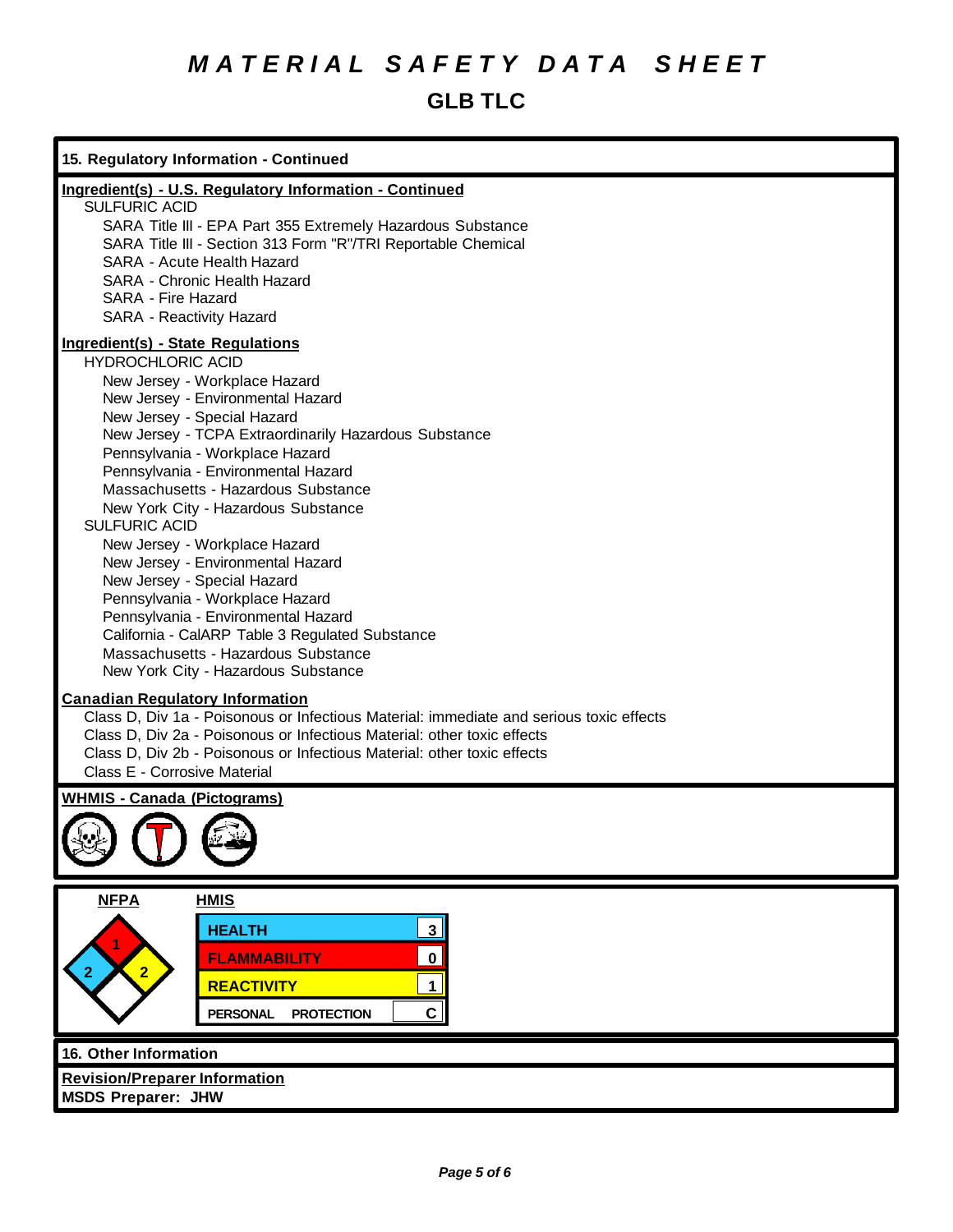### **GLB TLC**

| 15. Regulatory Information - Continued                                                                                                                                                                                                                                                                                                                                                                                                                                                                                                                                                                                                                                                                                      |  |  |
|-----------------------------------------------------------------------------------------------------------------------------------------------------------------------------------------------------------------------------------------------------------------------------------------------------------------------------------------------------------------------------------------------------------------------------------------------------------------------------------------------------------------------------------------------------------------------------------------------------------------------------------------------------------------------------------------------------------------------------|--|--|
| Ingredient(s) - U.S. Regulatory Information - Continued<br><b>SULFURIC ACID</b><br>SARA Title III - EPA Part 355 Extremely Hazardous Substance<br>SARA Title III - Section 313 Form "R"/TRI Reportable Chemical<br>SARA - Acute Health Hazard<br>SARA - Chronic Health Hazard<br>SARA - Fire Hazard<br>SARA - Reactivity Hazard                                                                                                                                                                                                                                                                                                                                                                                             |  |  |
| Ingredient(s) - State Regulations<br><b>HYDROCHLORIC ACID</b><br>New Jersey - Workplace Hazard<br>New Jersey - Environmental Hazard<br>New Jersey - Special Hazard<br>New Jersey - TCPA Extraordinarily Hazardous Substance<br>Pennsylvania - Workplace Hazard<br>Pennsylvania - Environmental Hazard<br>Massachusetts - Hazardous Substance<br>New York City - Hazardous Substance<br><b>SULFURIC ACID</b><br>New Jersey - Workplace Hazard<br>New Jersey - Environmental Hazard<br>New Jersey - Special Hazard<br>Pennsylvania - Workplace Hazard<br>Pennsylvania - Environmental Hazard<br>California - CalARP Table 3 Regulated Substance<br>Massachusetts - Hazardous Substance<br>New York City - Hazardous Substance |  |  |
| <b>Canadian Regulatory Information</b><br>Class D, Div 1a - Poisonous or Infectious Material: immediate and serious toxic effects<br>Class D, Div 2a - Poisonous or Infectious Material: other toxic effects<br>Class D, Div 2b - Poisonous or Infectious Material: other toxic effects<br>Class E - Corrosive Material                                                                                                                                                                                                                                                                                                                                                                                                     |  |  |
| <b>WHMIS - Canada (Pictograms)</b>                                                                                                                                                                                                                                                                                                                                                                                                                                                                                                                                                                                                                                                                                          |  |  |
| <b>NFPA</b><br><b>HMIS</b><br>$\mathbf{3}$<br><b>HEALTH</b><br>$\pmb{0}$<br><b>FLAMMABILITY</b><br>$\overline{2}$<br>$\mathbf{1}$<br><b>REACTIVITY</b><br>$\mathbf{C}$<br><b>PROTECTION</b><br><b>PERSONAL</b>                                                                                                                                                                                                                                                                                                                                                                                                                                                                                                              |  |  |
| 16. Other Information                                                                                                                                                                                                                                                                                                                                                                                                                                                                                                                                                                                                                                                                                                       |  |  |
| <b>Revision/Preparer Information</b><br><b>MSDS Preparer: JHW</b>                                                                                                                                                                                                                                                                                                                                                                                                                                                                                                                                                                                                                                                           |  |  |